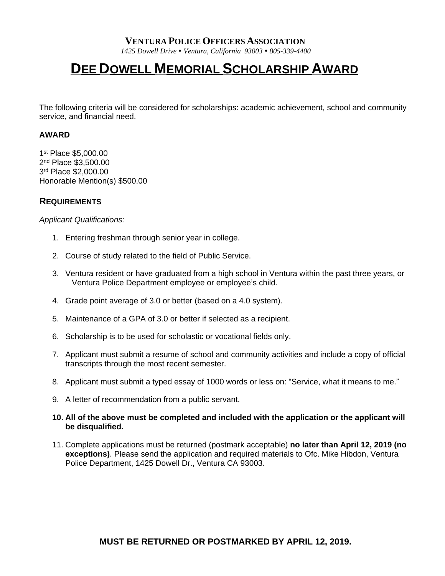### **VENTURA POLICE OFFICERS ASSOCIATION**

*1425 Dowell Drive Ventura, California 93003 805-339-4400*

# **DEE DOWELL MEMORIAL SCHOLARSHIP AWARD**

The following criteria will be considered for scholarships: academic achievement, school and community service, and financial need.

#### **AWARD**

 st Place \$5,000.00 nd Place \$3,500.00 rd Place \$2,000.00 Honorable Mention(s) \$500.00

#### **REQUIREMENTS**

*Applicant Qualifications:*

- 1. Entering freshman through senior year in college.
- 2. Course of study related to the field of Public Service.
- 3. Ventura resident or have graduated from a high school in Ventura within the past three years, or Ventura Police Department employee or employee's child.
- 4. Grade point average of 3.0 or better (based on a 4.0 system).
- 5. Maintenance of a GPA of 3.0 or better if selected as a recipient.
- 6. Scholarship is to be used for scholastic or vocational fields only.
- 7. Applicant must submit a resume of school and community activities and include a copy of official transcripts through the most recent semester.
- 8. Applicant must submit a typed essay of 1000 words or less on: "Service, what it means to me."
- 9. A letter of recommendation from a public servant.
- **10. All of the above must be completed and included with the application or the applicant will be disqualified.**
- 11. Complete applications must be returned (postmark acceptable) **no later than April 12, 2019 (no exceptions)**. Please send the application and required materials to Ofc. Mike Hibdon, Ventura Police Department, 1425 Dowell Dr., Ventura CA 93003.